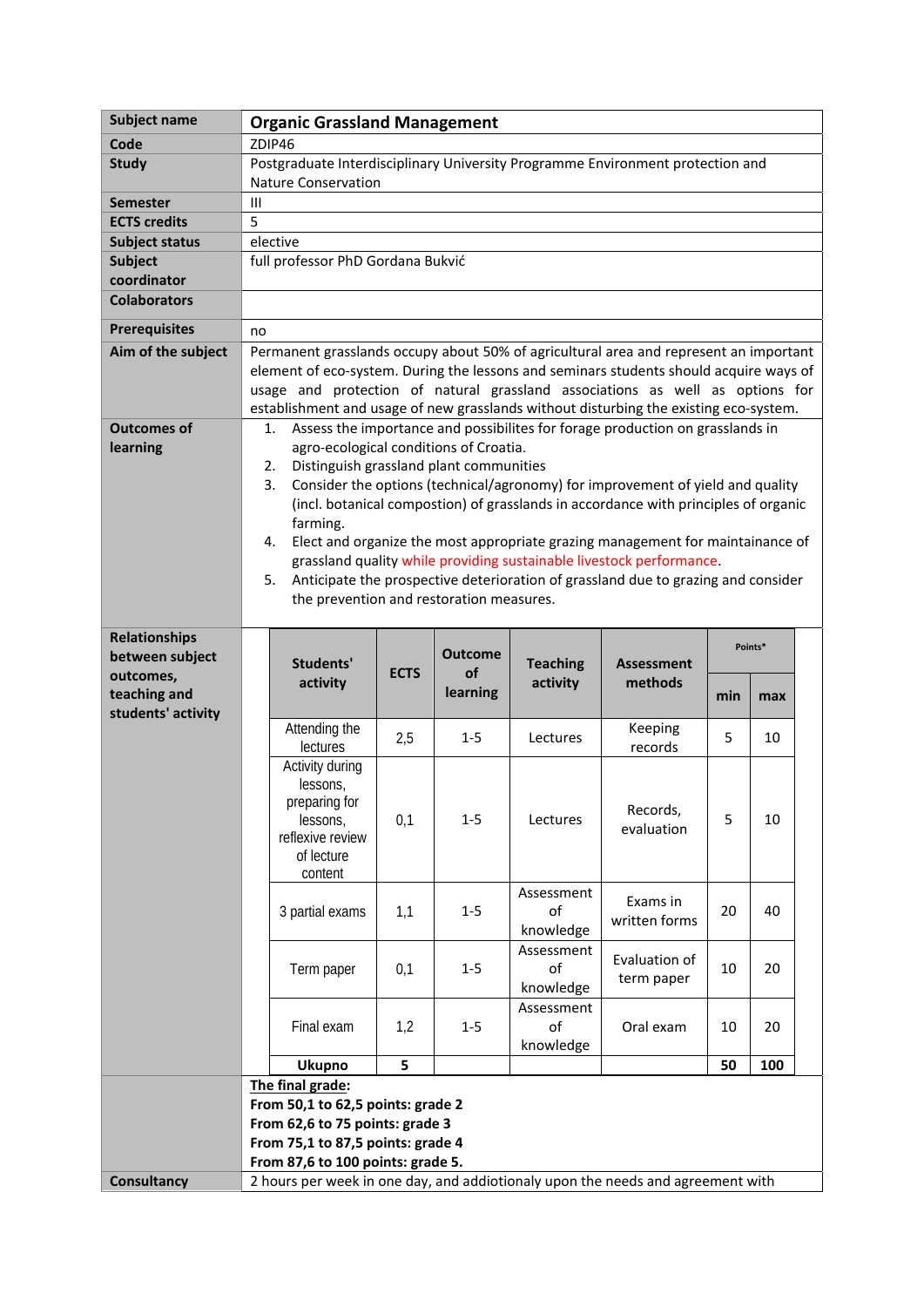| Subject name          | <b>Organic Grassland Management</b>                                                                                                                                                                                                                                                                                                                       |                                                                                                  |             |                |                 |                                                                                   |     |         |  |
|-----------------------|-----------------------------------------------------------------------------------------------------------------------------------------------------------------------------------------------------------------------------------------------------------------------------------------------------------------------------------------------------------|--------------------------------------------------------------------------------------------------|-------------|----------------|-----------------|-----------------------------------------------------------------------------------|-----|---------|--|
| Code                  | ZDIP46                                                                                                                                                                                                                                                                                                                                                    |                                                                                                  |             |                |                 |                                                                                   |     |         |  |
| <b>Study</b>          | Postgraduate Interdisciplinary University Programme Environment protection and                                                                                                                                                                                                                                                                            |                                                                                                  |             |                |                 |                                                                                   |     |         |  |
|                       | <b>Nature Conservation</b>                                                                                                                                                                                                                                                                                                                                |                                                                                                  |             |                |                 |                                                                                   |     |         |  |
| <b>Semester</b>       |                                                                                                                                                                                                                                                                                                                                                           | $\mathbf{III}$                                                                                   |             |                |                 |                                                                                   |     |         |  |
| <b>ECTS credits</b>   | 5                                                                                                                                                                                                                                                                                                                                                         |                                                                                                  |             |                |                 |                                                                                   |     |         |  |
| <b>Subject status</b> | elective                                                                                                                                                                                                                                                                                                                                                  |                                                                                                  |             |                |                 |                                                                                   |     |         |  |
| <b>Subject</b>        |                                                                                                                                                                                                                                                                                                                                                           | full professor PhD Gordana Bukvić                                                                |             |                |                 |                                                                                   |     |         |  |
| coordinator           |                                                                                                                                                                                                                                                                                                                                                           |                                                                                                  |             |                |                 |                                                                                   |     |         |  |
| <b>Colaborators</b>   |                                                                                                                                                                                                                                                                                                                                                           |                                                                                                  |             |                |                 |                                                                                   |     |         |  |
| <b>Prerequisites</b>  | no                                                                                                                                                                                                                                                                                                                                                        |                                                                                                  |             |                |                 |                                                                                   |     |         |  |
| Aim of the subject    | Permanent grasslands occupy about 50% of agricultural area and represent an important<br>element of eco-system. During the lessons and seminars students should acquire ways of<br>usage and protection of natural grassland associations as well as options for<br>establishment and usage of new grasslands without disturbing the existing eco-system. |                                                                                                  |             |                |                 |                                                                                   |     |         |  |
| <b>Outcomes of</b>    |                                                                                                                                                                                                                                                                                                                                                           | 1.                                                                                               |             |                |                 | Assess the importance and possibilites for forage production on grasslands in     |     |         |  |
| learning              |                                                                                                                                                                                                                                                                                                                                                           | agro-ecological conditions of Croatia.                                                           |             |                |                 |                                                                                   |     |         |  |
|                       |                                                                                                                                                                                                                                                                                                                                                           | Distinguish grassland plant communities<br>2.                                                    |             |                |                 |                                                                                   |     |         |  |
|                       |                                                                                                                                                                                                                                                                                                                                                           | Consider the options (technical/agronomy) for improvement of yield and quality<br>3.             |             |                |                 |                                                                                   |     |         |  |
|                       |                                                                                                                                                                                                                                                                                                                                                           | (incl. botanical compostion) of grasslands in accordance with principles of organic              |             |                |                 |                                                                                   |     |         |  |
|                       |                                                                                                                                                                                                                                                                                                                                                           | farming.<br>Elect and organize the most appropriate grazing management for maintainance of<br>4. |             |                |                 |                                                                                   |     |         |  |
|                       |                                                                                                                                                                                                                                                                                                                                                           |                                                                                                  |             |                |                 | grassland quality while providing sustainable livestock performance.              |     |         |  |
|                       |                                                                                                                                                                                                                                                                                                                                                           | 5.                                                                                               |             |                |                 | Anticipate the prospective deterioration of grassland due to grazing and consider |     |         |  |
|                       |                                                                                                                                                                                                                                                                                                                                                           | the prevention and restoration measures.                                                         |             |                |                 |                                                                                   |     |         |  |
|                       |                                                                                                                                                                                                                                                                                                                                                           |                                                                                                  |             |                |                 |                                                                                   |     |         |  |
| <b>Relationships</b>  |                                                                                                                                                                                                                                                                                                                                                           |                                                                                                  |             |                |                 |                                                                                   |     | Points* |  |
| between subject       |                                                                                                                                                                                                                                                                                                                                                           | Students'                                                                                        |             | <b>Outcome</b> | <b>Teaching</b> | <b>Assessment</b>                                                                 |     |         |  |
| outcomes,             |                                                                                                                                                                                                                                                                                                                                                           | activity                                                                                         | <b>ECTS</b> | of             | activity        | methods                                                                           |     |         |  |
| teaching and          |                                                                                                                                                                                                                                                                                                                                                           |                                                                                                  |             | learning       |                 |                                                                                   | min | max     |  |
| students' activity    |                                                                                                                                                                                                                                                                                                                                                           | Attending the                                                                                    |             |                |                 | Keeping                                                                           |     |         |  |
|                       |                                                                                                                                                                                                                                                                                                                                                           | lectures                                                                                         | 2,5         | $1 - 5$        | Lectures        | records                                                                           | 5   | 10      |  |
|                       |                                                                                                                                                                                                                                                                                                                                                           | Activity during                                                                                  |             |                |                 |                                                                                   |     |         |  |
|                       |                                                                                                                                                                                                                                                                                                                                                           | lessons,                                                                                         |             |                |                 |                                                                                   |     |         |  |
|                       |                                                                                                                                                                                                                                                                                                                                                           | preparing for                                                                                    |             |                |                 | Records,                                                                          |     |         |  |
|                       |                                                                                                                                                                                                                                                                                                                                                           | lessons,                                                                                         | 0,1         | $1 - 5$        | Lectures        | evaluation                                                                        | 5   | 10      |  |
|                       |                                                                                                                                                                                                                                                                                                                                                           | reflexive review<br>of lecture                                                                   |             |                |                 |                                                                                   |     |         |  |
|                       |                                                                                                                                                                                                                                                                                                                                                           | content                                                                                          |             |                |                 |                                                                                   |     |         |  |
|                       |                                                                                                                                                                                                                                                                                                                                                           |                                                                                                  |             |                | Assessment      |                                                                                   |     |         |  |
|                       |                                                                                                                                                                                                                                                                                                                                                           | 3 partial exams                                                                                  | 1,1         | $1-5$          | of              | Exams in                                                                          | 20  | 40      |  |
|                       |                                                                                                                                                                                                                                                                                                                                                           |                                                                                                  |             |                | knowledge       | written forms                                                                     |     |         |  |
|                       |                                                                                                                                                                                                                                                                                                                                                           |                                                                                                  |             |                | Assessment      | Evaluation of                                                                     |     |         |  |
|                       |                                                                                                                                                                                                                                                                                                                                                           | Term paper                                                                                       | 0,1         | $1 - 5$        | of              | term paper                                                                        | 10  | 20      |  |
|                       |                                                                                                                                                                                                                                                                                                                                                           |                                                                                                  |             |                | knowledge       |                                                                                   |     |         |  |
|                       |                                                                                                                                                                                                                                                                                                                                                           |                                                                                                  |             |                | Assessment      |                                                                                   |     |         |  |
|                       |                                                                                                                                                                                                                                                                                                                                                           | Final exam                                                                                       | 1,2         | $1-5$          | of              | Oral exam                                                                         | 10  | 20      |  |
|                       |                                                                                                                                                                                                                                                                                                                                                           | <b>Ukupno</b>                                                                                    | 5           |                | knowledge       |                                                                                   | 50  | 100     |  |
|                       |                                                                                                                                                                                                                                                                                                                                                           |                                                                                                  |             |                |                 |                                                                                   |     |         |  |
|                       |                                                                                                                                                                                                                                                                                                                                                           | The final grade:                                                                                 |             |                |                 |                                                                                   |     |         |  |
|                       |                                                                                                                                                                                                                                                                                                                                                           |                                                                                                  |             |                |                 |                                                                                   |     |         |  |
|                       |                                                                                                                                                                                                                                                                                                                                                           | From 50,1 to 62,5 points: grade 2                                                                |             |                |                 |                                                                                   |     |         |  |
|                       |                                                                                                                                                                                                                                                                                                                                                           | From 62,6 to 75 points: grade 3                                                                  |             |                |                 |                                                                                   |     |         |  |
|                       |                                                                                                                                                                                                                                                                                                                                                           | From 75,1 to 87,5 points: grade 4<br>From 87,6 to 100 points: grade 5.                           |             |                |                 |                                                                                   |     |         |  |